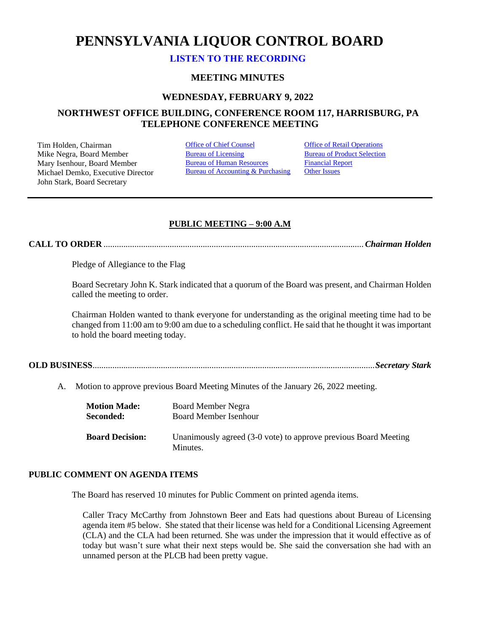# **PENNSYLVANIA LIQUOR CONTROL BOARD**

## **[LISTEN TO THE RECORDING](https://youtu.be/QPjg-eRATy4)**

### **MEETING MINUTES**

### **WEDNESDAY, FEBRUARY 9, 2022**

## **NORTHWEST OFFICE BUILDING, CONFERENCE ROOM 117, HARRISBURG, PA TELEPHONE CONFERENCE MEETING**

Tim Holden, Chairman **[Office of Chief Counsel](#page-1-0)** Office [of Retail Operations](#page-11-0)<br>
Mike Negra. Board Member **Bureau of Licensing** Bureau of Product Selection Mike Negra, Board Member Mary Isenhour, Board Member Michael Demko, Executive Director John Stark, Board Secretary

[Bureau of Human Resources](#page-9-0) Bureau of Accounting & Purchasing [Financial Report](#page-10-0) **[Other Issues](#page-16-0)** 

## **PUBLIC MEETING – 9:00 A.M**

**CALL TO ORDER** ......................................................................................................................*Chairman Holden*

Pledge of Allegiance to the Flag

Board Secretary John K. Stark indicated that a quorum of the Board was present, and Chairman Holden called the meeting to order.

Chairman Holden wanted to thank everyone for understanding as the original meeting time had to be changed from 11:00 am to 9:00 am due to a scheduling conflict. He said that he thought it was important to hold the board meeting today.

**OLD BUSINESS**................................................................................................................................*Secretary Stark*

A. Motion to approve previous Board Meeting Minutes of the January 26, 2022 meeting.

| <b>Motion Made:</b>    | Board Member Negra                                                          |
|------------------------|-----------------------------------------------------------------------------|
| Seconded:              | Board Member Isenhour                                                       |
| <b>Board Decision:</b> | Unanimously agreed (3-0 vote) to approve previous Board Meeting<br>Minutes. |

## **PUBLIC COMMENT ON AGENDA ITEMS**

The Board has reserved 10 minutes for Public Comment on printed agenda items.

Caller Tracy McCarthy from Johnstown Beer and Eats had questions about Bureau of Licensing agenda item #5 below. She stated that their license was held for a Conditional Licensing Agreement (CLA) and the CLA had been returned. She was under the impression that it would effective as of today but wasn't sure what their next steps would be. She said the conversation she had with an unnamed person at the PLCB had been pretty vague.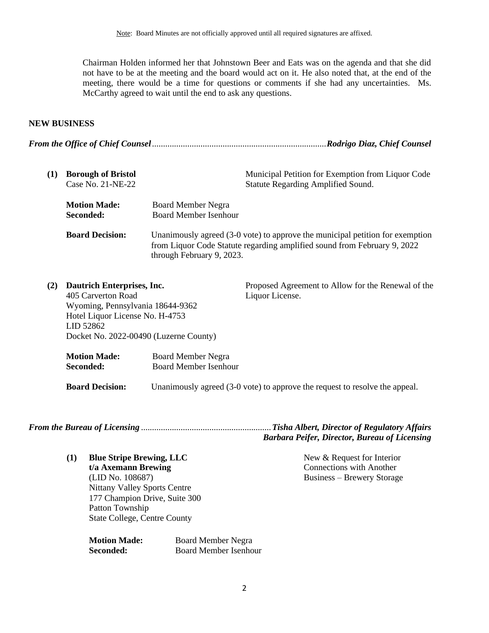Chairman Holden informed her that Johnstown Beer and Eats was on the agenda and that she did not have to be at the meeting and the board would act on it. He also noted that, at the end of the meeting, there would be a time for questions or comments if she had any uncertainties. Ms. McCarthy agreed to wait until the end to ask any questions.

## **NEW BUSINESS**

*From the Office of Chief Counsel*...............................................................................*Rodrigo Diaz, Chief Counsel*

<span id="page-1-0"></span>

| (1) | <b>Borough of Bristol</b><br>Case No. 21-NE-22 | Municipal Petition for Exemption from Liquor Code<br><b>Statute Regarding Amplified Sound.</b>                                                                                         |  |
|-----|------------------------------------------------|----------------------------------------------------------------------------------------------------------------------------------------------------------------------------------------|--|
|     | <b>Motion Made:</b><br>Seconded:               | <b>Board Member Negra</b><br><b>Board Member Isenhour</b>                                                                                                                              |  |
|     | <b>Board Decision:</b>                         | Unanimously agreed (3-0 vote) to approve the municipal petition for exemption<br>from Liquor Code Statute regarding amplified sound from February 9, 2022<br>through February 9, 2023. |  |

| (2)       | <b>Dautrich Enterprises, Inc.</b> |                                        | Proposed Agreement to Allow for the Renewal of the |
|-----------|-----------------------------------|----------------------------------------|----------------------------------------------------|
|           | 405 Carverton Road                |                                        | Liquor License.                                    |
|           | Wyoming, Pennsylvania 18644-9362  |                                        |                                                    |
|           | Hotel Liquor License No. H-4753   |                                        |                                                    |
| LID 52862 |                                   |                                        |                                                    |
|           |                                   | Docket No. 2022-00490 (Luzerne County) |                                                    |
|           | <b>Motion Made:</b>               | <b>Board Member Negra</b>              |                                                    |
|           | Seconded:                         | <b>Board Member Isenhour</b>           |                                                    |

**Board Decision:** Unanimously agreed (3-0 vote) to approve the request to resolve the appeal.

*From the Bureau of Licensing* ...........................................................*Tisha Albert, Director of Regulatory Affairs*

*Barbara Peifer, Director, Bureau of Licensing*

<span id="page-1-1"></span>**(1) Blue Stripe Brewing, LLC t/a Axemann Brewing** (LID No. 108687) Nittany Valley Sports Centre 177 Champion Drive, Suite 300 Patton Township

State College, Centre County

**Motion Made:** Board Member Negra **Seconded:** Board Member Isenhour New & Request for Interior Connections with Another Business – Brewery Storage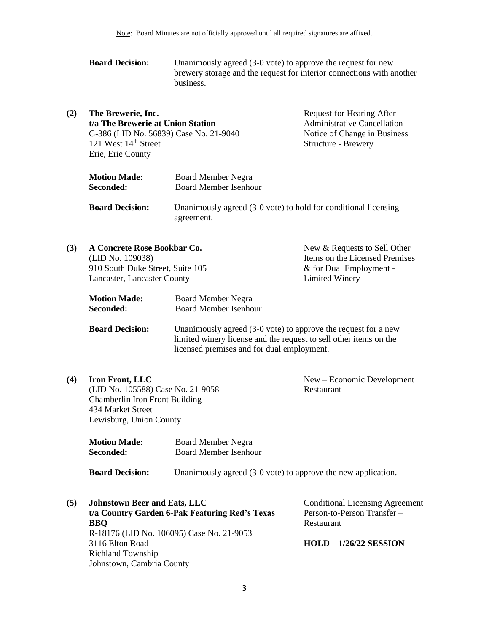| <b>Board Decision:</b> | Unanimously agreed $(3-0)$ vote) to approve the request for new       |
|------------------------|-----------------------------------------------------------------------|
|                        | brewery storage and the request for interior connections with another |
|                        | business.                                                             |

| (2) | The Brewerie, Inc.<br>t/a The Brewerie at Union Station<br>121 West 14 <sup>th</sup> Street<br>Erie, Erie County | <b>Request for Hearing After</b><br>Administrative Cancellation –<br>G-386 (LID No. 56839) Case No. 21-9040<br>Notice of Change in Business<br>Structure - Brewery |
|-----|------------------------------------------------------------------------------------------------------------------|--------------------------------------------------------------------------------------------------------------------------------------------------------------------|
|     | <b>Motion Made:</b><br>Seconded:                                                                                 | Board Member Negra<br><b>Board Member Isenhour</b>                                                                                                                 |
|     | <b>Board Decision:</b>                                                                                           | Unanimously agreed (3-0 vote) to hold for conditional licensing<br>agreement.                                                                                      |

| (3) | A Concrete Rose Bookbar Co.<br>(LID No. 109038)<br>910 South Duke Street, Suite 105<br>Lancaster, Lancaster County |                              | New & Requests to Sell Other<br>Items on the Licensed Premises<br>& for Dual Employment -<br>Limited Winery |
|-----|--------------------------------------------------------------------------------------------------------------------|------------------------------|-------------------------------------------------------------------------------------------------------------|
|     |                                                                                                                    |                              |                                                                                                             |
|     |                                                                                                                    |                              |                                                                                                             |
|     |                                                                                                                    |                              |                                                                                                             |
|     | <b>Motion Made:</b>                                                                                                | <b>Board Member Negra</b>    |                                                                                                             |
|     | Seconded:                                                                                                          | <b>Board Member Isenhour</b> |                                                                                                             |

**Board Decision:** Unanimously agreed (3-0 vote) to approve the request for a new limited winery license and the request to sell other items on the licensed premises and for dual employment.

**(4) Iron Front, LLC** (LID No. 105588) Case No. 21-9058 Chamberlin Iron Front Building 434 Market Street Lewisburg, Union County

New – Economic Development Restaurant

| <b>Motion Made:</b> | Board Member Negra    |
|---------------------|-----------------------|
| Seconded:           | Board Member Isenhour |
|                     |                       |

**Board Decision:** Unanimously agreed (3-0 vote) to approve the new application.

| (5) | <b>Johnstown Beer and Eats, LLC</b>            | <b>Conditional Licensing Agreement</b> |
|-----|------------------------------------------------|----------------------------------------|
|     | t/a Country Garden 6-Pak Featuring Red's Texas | Person-to-Person Transfer-             |
|     | <b>BBO</b>                                     | Restaurant                             |
|     | R-18176 (LID No. 106095) Case No. 21-9053      |                                        |
|     | 3116 Elton Road                                | $HOLD - 1/26/22$ SESSION               |
|     | <b>Richland Township</b>                       |                                        |
|     | Johnstown, Cambria County                      |                                        |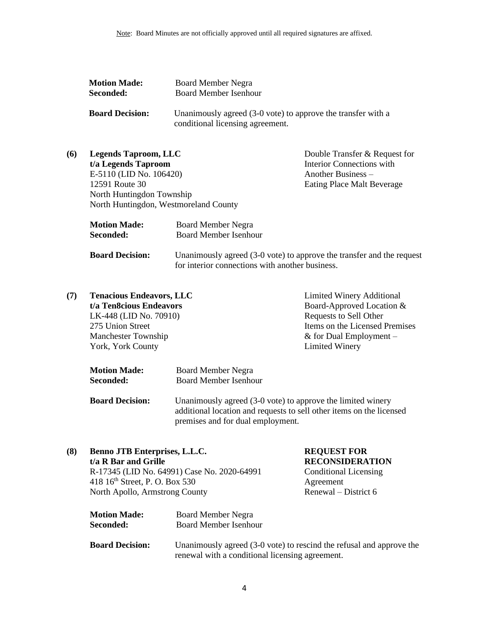| <b>Motion Made:</b>    | <b>Board Member Negra</b>                                                                        |
|------------------------|--------------------------------------------------------------------------------------------------|
| Seconded:              | <b>Board Member Isenhour</b>                                                                     |
| <b>Board Decision:</b> | Unanimously agreed (3-0 vote) to approve the transfer with a<br>conditional licensing agreement. |

| (6) | <b>Legends Taproom, LLC</b>           | Double Transfer & Request for    |
|-----|---------------------------------------|----------------------------------|
|     | t/a Legends Taproom                   | <b>Interior Connections with</b> |
|     | E-5110 (LID No. 106420)               | Another Business $-$             |
|     | 12591 Route 30                        | Eating Place Malt Beverage       |
|     | North Huntingdon Township             |                                  |
|     | North Huntingdon, Westmoreland County |                                  |
|     |                                       |                                  |

| <b>Motion Made:</b>    | Board Member Negra                                                    |
|------------------------|-----------------------------------------------------------------------|
| Seconded:              | Board Member Isenhour                                                 |
|                        |                                                                       |
| <b>Board Decision:</b> | Unanimously agreed (3-0 vote) to approve the transfer and the request |

for interior connections with another business.

| (7) | <b>Tenacious Endeavors, LLC</b> | Limited Winery Additional      |
|-----|---------------------------------|--------------------------------|
|     | t/a Ten8cious Endeavors         | Board-Approved Location &      |
|     | LK-448 (LID No. 70910)          | Requests to Sell Other         |
|     | 275 Union Street                | Items on the Licensed Premises |
|     | <b>Manchester Township</b>      | & for Dual Employment $-$      |
|     | York, York County               | <b>Limited Winery</b>          |
|     |                                 |                                |

| <b>Motion Made:</b> | <b>Board Member Negra</b>    |
|---------------------|------------------------------|
| Seconded:           | <b>Board Member Isenhour</b> |

**Board Decision:** Unanimously agreed (3-0 vote) to approve the limited winery additional location and requests to sell other items on the licensed premises and for dual employment.

| (8) | Benno JTB Enterprises, L.L.C.<br>t/a R Bar and Grille |                                                 | <b>REQUEST FOR</b><br><b>RECONSIDERATION</b>                         |  |
|-----|-------------------------------------------------------|-------------------------------------------------|----------------------------------------------------------------------|--|
|     |                                                       | R-17345 (LID No. 64991) Case No. 2020-64991     | <b>Conditional Licensing</b>                                         |  |
|     | 418 16 <sup>th</sup> Street, P. O. Box 530            |                                                 | Agreement                                                            |  |
|     | North Apollo, Armstrong County                        |                                                 | Renewal – District 6                                                 |  |
|     | <b>Motion Made:</b>                                   | <b>Board Member Negra</b>                       |                                                                      |  |
|     | Seconded:                                             | <b>Board Member Isenhour</b>                    |                                                                      |  |
|     | <b>Board Decision:</b>                                | renewal with a conditional licensing agreement. | Unanimously agreed (3-0 vote) to rescind the refusal and approve the |  |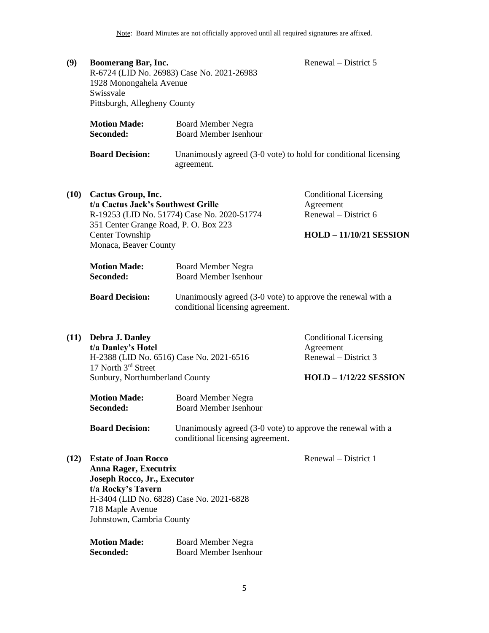| (9) | Boomerang Bar, Inc.              |                                                                               | Renewal – District 5 |
|-----|----------------------------------|-------------------------------------------------------------------------------|----------------------|
|     |                                  | R-6724 (LID No. 26983) Case No. 2021-26983                                    |                      |
|     | 1928 Monongahela Avenue          |                                                                               |                      |
|     | Swissvale                        |                                                                               |                      |
|     | Pittsburgh, Allegheny County     |                                                                               |                      |
|     | <b>Motion Made:</b><br>Seconded: | <b>Board Member Negra</b><br><b>Board Member Isenhour</b>                     |                      |
|     | <b>Board Decision:</b>           | Unanimously agreed (3-0 vote) to hold for conditional licensing<br>agreement. |                      |
|     |                                  |                                                                               |                      |

| (10) | Cactus Group, Inc.                          | <b>Conditional Licensing</b>   |
|------|---------------------------------------------|--------------------------------|
|      | t/a Cactus Jack's Southwest Grille          | Agreement                      |
|      | R-19253 (LID No. 51774) Case No. 2020-51774 | Renewal – District 6           |
|      | 351 Center Grange Road, P. O. Box 223       |                                |
|      | Center Township                             | <b>HOLD - 11/10/21 SESSION</b> |
|      | Monaca, Beaver County                       |                                |

| <b>Motion Made:</b>    | <b>Board Member Negra</b>                                                                       |
|------------------------|-------------------------------------------------------------------------------------------------|
| Seconded:              | <b>Board Member Isenhour</b>                                                                    |
| <b>Board Decision:</b> | Unanimously agreed (3-0 vote) to approve the renewal with a<br>conditional licensing agreement. |

| (11) | Debra J. Danley                                                 | <b>Conditional Licensing</b> |
|------|-----------------------------------------------------------------|------------------------------|
|      | t/a Danley's Hotel                                              | Agreement                    |
|      | H-2388 (LID No. 6516) Case No. 2021-6516<br>17 North 3rd Street | Renewal – District 3         |
|      | Sunbury, Northumberland County                                  | $HOLD - 1/12/22$ SESSION     |

| <b>Motion Made:</b> | <b>Board Member Negra</b>    |
|---------------------|------------------------------|
| Seconded:           | <b>Board Member Isenhour</b> |

**Board Decision:** Unanimously agreed (3-0 vote) to approve the renewal with a conditional licensing agreement.

Renewal – District 1

**(12) Estate of Joan Rocco Anna Rager, Executrix Joseph Rocco, Jr., Executor t/a Rocky's Tavern** H-3404 (LID No. 6828) Case No. 2021-6828 718 Maple Avenue Johnstown, Cambria County

| <b>Motion Made:</b> | <b>Board Member Negra</b> |
|---------------------|---------------------------|
| Seconded:           | Board Member Isenhour     |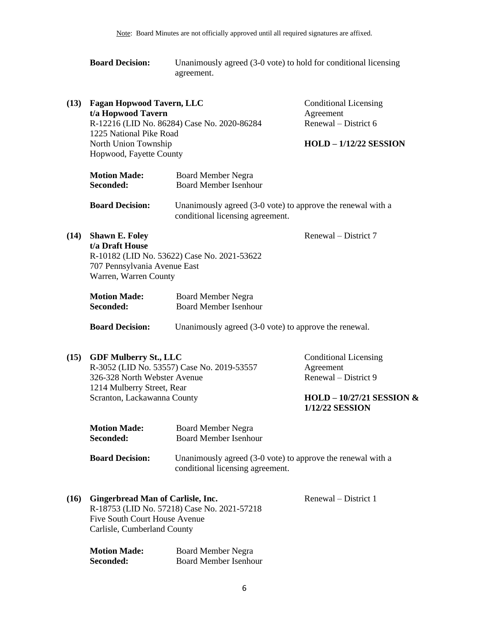| <b>Board Decision:</b> | Unanimously agreed (3-0 vote) to hold for conditional licensing |
|------------------------|-----------------------------------------------------------------|
|                        | agreement.                                                      |

| (13) | <b>Fagan Hopwood Tavern, LLC</b><br>t/a Hopwood Tavern<br>1225 National Pike Road<br>North Union Township<br>Hopwood, Fayette County | R-12216 (LID No. 86284) Case No. 2020-86284                                                     | <b>Conditional Licensing</b><br>Agreement<br>Renewal – District 6<br>$HOLD - 1/12/22$ SESSION |
|------|--------------------------------------------------------------------------------------------------------------------------------------|-------------------------------------------------------------------------------------------------|-----------------------------------------------------------------------------------------------|
|      | <b>Motion Made:</b><br>Seconded:                                                                                                     | <b>Board Member Negra</b><br><b>Board Member Isenhour</b>                                       |                                                                                               |
|      | <b>Board Decision:</b>                                                                                                               | Unanimously agreed (3-0 vote) to approve the renewal with a<br>conditional licensing agreement. |                                                                                               |
| (14) | <b>Shawn E. Foley</b><br>t/a Draft House<br>707 Pennsylvania Avenue East<br>Warren, Warren County                                    | R-10182 (LID No. 53622) Case No. 2021-53622                                                     | Renewal – District 7                                                                          |
|      | <b>Motion Made:</b><br>Seconded:                                                                                                     | <b>Board Member Negra</b><br><b>Board Member Isenhour</b>                                       |                                                                                               |
|      | <b>Board Decision:</b>                                                                                                               | Unanimously agreed (3-0 vote) to approve the renewal.                                           |                                                                                               |
| (15) | <b>GDF Mulberry St., LLC</b>                                                                                                         |                                                                                                 | <b>Conditional Licensing</b>                                                                  |

| <b>GDF Mulberry St., LLC</b>               | Conditional Licensing       |
|--------------------------------------------|-----------------------------|
| R-3052 (LID No. 53557) Case No. 2019-53557 | Agreement                   |
| 326-328 North Webster Avenue               | Renewal – District 9        |
| 1214 Mulberry Street, Rear                 |                             |
| Scranton, Lackawanna County                | HOLD – $10/27/21$ SESSION & |
|                                            | 1/12/22 SESSION             |

| <b>Motion Made:</b>    | <b>Board Member Negra</b>                                                                       |
|------------------------|-------------------------------------------------------------------------------------------------|
| <b>Seconded:</b>       | <b>Board Member Isenhour</b>                                                                    |
| <b>Board Decision:</b> | Unanimously agreed (3-0 vote) to approve the renewal with a<br>conditional licensing agreement. |

**(16) Gingerbread Man of Carlisle, Inc.** R-18753 (LID No. 57218) Case No. 2021-57218 Five South Court House Avenue Carlisle, Cumberland County

Renewal – District 1

| <b>Motion Made:</b> | <b>Board Member Negra</b>    |
|---------------------|------------------------------|
| <b>Seconded:</b>    | <b>Board Member Isenhour</b> |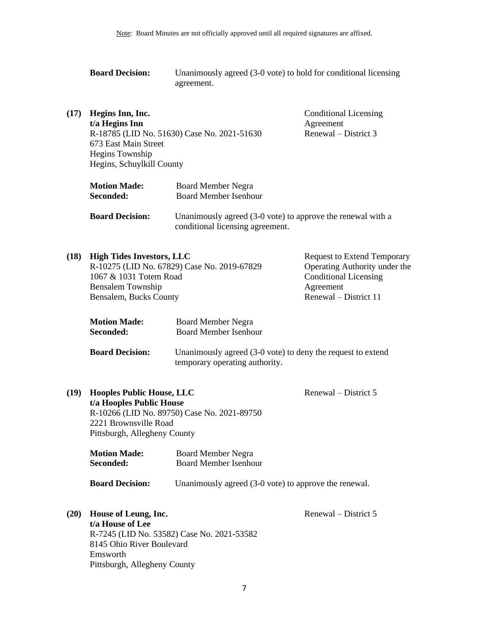|      | <b>Board Decision:</b>                                                                                                | Unanimously agreed (3-0 vote) to hold for conditional licensing<br>agreement.                   |                                                                                                                                           |
|------|-----------------------------------------------------------------------------------------------------------------------|-------------------------------------------------------------------------------------------------|-------------------------------------------------------------------------------------------------------------------------------------------|
| (17) | Hegins Inn, Inc.<br>t/a Hegins Inn<br>673 East Main Street<br>Hegins Township<br>Hegins, Schuylkill County            | R-18785 (LID No. 51630) Case No. 2021-51630                                                     | <b>Conditional Licensing</b><br>Agreement<br>Renewal – District 3                                                                         |
|      | <b>Motion Made:</b><br>Seconded:                                                                                      | <b>Board Member Negra</b><br><b>Board Member Isenhour</b>                                       |                                                                                                                                           |
|      | <b>Board Decision:</b>                                                                                                | Unanimously agreed (3-0 vote) to approve the renewal with a<br>conditional licensing agreement. |                                                                                                                                           |
| (18) | <b>High Tides Investors, LLC</b><br>1067 & 1031 Totem Road<br><b>Bensalem Township</b><br>Bensalem, Bucks County      | R-10275 (LID No. 67829) Case No. 2019-67829                                                     | <b>Request to Extend Temporary</b><br>Operating Authority under the<br><b>Conditional Licensing</b><br>Agreement<br>Renewal - District 11 |
|      | <b>Motion Made:</b><br>Seconded:                                                                                      | <b>Board Member Negra</b><br><b>Board Member Isenhour</b>                                       |                                                                                                                                           |
|      | <b>Board Decision:</b>                                                                                                | Unanimously agreed (3-0 vote) to deny the request to extend<br>temporary operating authority.   |                                                                                                                                           |
| (19) | <b>Hooples Public House, LLC</b><br>t/a Hooples Public House<br>2221 Brownsville Road<br>Pittsburgh, Allegheny County | R-10266 (LID No. 89750) Case No. 2021-89750                                                     | Renewal – District 5                                                                                                                      |
|      | <b>Motion Made:</b><br>Seconded:                                                                                      | <b>Board Member Negra</b><br><b>Board Member Isenhour</b>                                       |                                                                                                                                           |
|      | <b>Board Decision:</b>                                                                                                | Unanimously agreed (3-0 vote) to approve the renewal.                                           |                                                                                                                                           |
| (20) | House of Leung, Inc.<br>t/a House of Lee<br>8145 Ohio River Boulevard<br>Emsworth<br>Pittsburgh, Allegheny County     | R-7245 (LID No. 53582) Case No. 2021-53582                                                      | Renewal – District 5                                                                                                                      |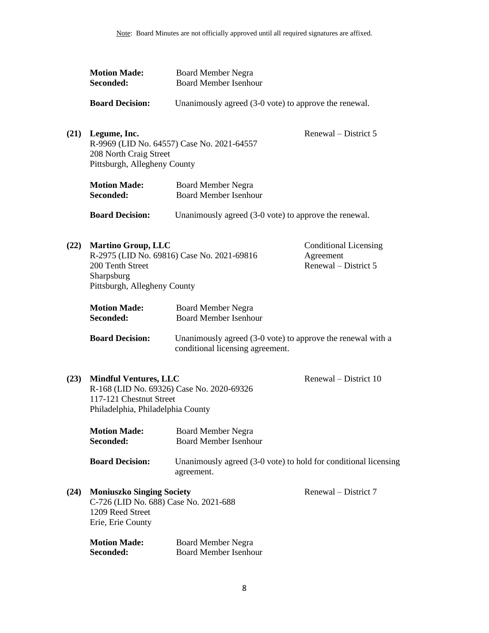|      | <b>Motion Made:</b><br>Seconded:                                                                                                          | <b>Board Member Negra</b><br><b>Board Member Isenhour</b>                                       |                                                                   |
|------|-------------------------------------------------------------------------------------------------------------------------------------------|-------------------------------------------------------------------------------------------------|-------------------------------------------------------------------|
|      | <b>Board Decision:</b>                                                                                                                    | Unanimously agreed (3-0 vote) to approve the renewal.                                           |                                                                   |
| (21) | Legume, Inc.<br>208 North Craig Street<br>Pittsburgh, Allegheny County                                                                    | R-9969 (LID No. 64557) Case No. 2021-64557                                                      | Renewal – District 5                                              |
|      | <b>Motion Made:</b><br>Seconded:                                                                                                          | <b>Board Member Negra</b><br><b>Board Member Isenhour</b>                                       |                                                                   |
|      | <b>Board Decision:</b>                                                                                                                    | Unanimously agreed (3-0 vote) to approve the renewal.                                           |                                                                   |
| (22) | <b>Martino Group, LLC</b><br>200 Tenth Street<br>Sharpsburg<br>Pittsburgh, Allegheny County                                               | R-2975 (LID No. 69816) Case No. 2021-69816                                                      | <b>Conditional Licensing</b><br>Agreement<br>Renewal – District 5 |
|      | <b>Motion Made:</b><br>Seconded:                                                                                                          | <b>Board Member Negra</b><br><b>Board Member Isenhour</b>                                       |                                                                   |
|      | <b>Board Decision:</b>                                                                                                                    | Unanimously agreed (3-0 vote) to approve the renewal with a<br>conditional licensing agreement. |                                                                   |
| (23) | <b>Mindful Ventures, LLC</b><br>R-168 (LID No. 69326) Case No. 2020-69326<br>117-121 Chestnut Street<br>Philadelphia, Philadelphia County |                                                                                                 | Renewal – District 10                                             |
|      | <b>Motion Made:</b><br>Seconded:                                                                                                          | <b>Board Member Negra</b><br><b>Board Member Isenhour</b>                                       |                                                                   |
|      | <b>Board Decision:</b>                                                                                                                    | Unanimously agreed (3-0 vote) to hold for conditional licensing<br>agreement.                   |                                                                   |
| (24) | <b>Moniuszko Singing Society</b><br>C-726 (LID No. 688) Case No. 2021-688<br>1209 Reed Street<br>Erie, Erie County                        |                                                                                                 | Renewal – District 7                                              |
|      | <b>Motion Made:</b><br>Seconded:                                                                                                          | <b>Board Member Negra</b><br><b>Board Member Isenhour</b>                                       |                                                                   |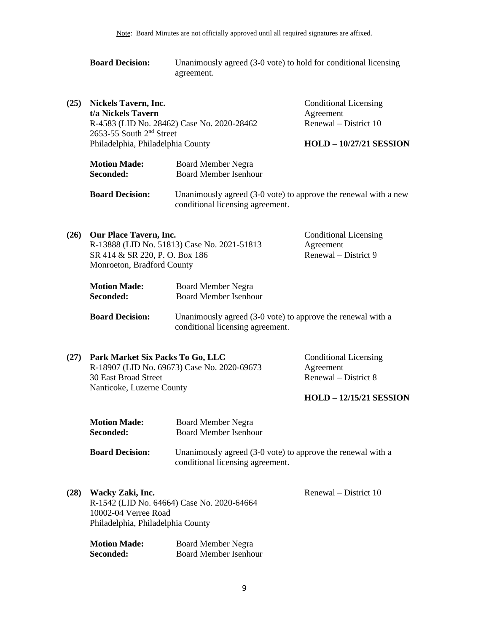| <b>Board Decision:</b> | Unanimously agreed (3-0 vote) to hold for conditional licensing |
|------------------------|-----------------------------------------------------------------|
|                        | agreement.                                                      |

| (25) | <b>Nickels Tavern, Inc.</b><br>t/a Nickels Tavern<br>R-4583 (LID No. 28462) Case No. 2020-28462<br>2653-55 South 2 <sup>nd</sup> Street<br>Philadelphia, Philadelphia County |                                                           | <b>Conditional Licensing</b><br>Agreement<br>Renewal – District 10<br><b>HOLD - 10/27/21 SESSION</b> |
|------|------------------------------------------------------------------------------------------------------------------------------------------------------------------------------|-----------------------------------------------------------|------------------------------------------------------------------------------------------------------|
|      |                                                                                                                                                                              |                                                           |                                                                                                      |
|      | <b>Motion Made:</b><br>Seconded:                                                                                                                                             | <b>Board Member Negra</b><br><b>Board Member Isenhour</b> |                                                                                                      |

**Board Decision:** Unanimously agreed (3-0 vote) to approve the renewal with a new conditional licensing agreement.

| (26) | <b>Our Place Tavern, Inc.</b>               | <b>Conditional Licensing</b> |
|------|---------------------------------------------|------------------------------|
|      | R-13888 (LID No. 51813) Case No. 2021-51813 | Agreement                    |
|      | SR 414 & SR 220, P. O. Box 186              | Renewal – District 9         |
|      | Monroeton, Bradford County                  |                              |

| <b>Motion Made:</b> | <b>Board Member Negra</b>    |
|---------------------|------------------------------|
| Seconded:           | <b>Board Member Isenhour</b> |

**Board Decision:** Unanimously agreed (3-0 vote) to approve the renewal with a conditional licensing agreement.

| (27) Park Market Six Packs To Go, LLC       | <b>Conditional Licensing</b> |
|---------------------------------------------|------------------------------|
| R-18907 (LID No. 69673) Case No. 2020-69673 | Agreement                    |
| 30 East Broad Street                        | Renewal – District 8         |
| Nanticoke, Luzerne County                   |                              |
|                                             | $HOLD - 12/15/21$ SESSION    |

| <b>Motion Made:</b>    | Board Member Negra                                          |
|------------------------|-------------------------------------------------------------|
| <b>Seconded:</b>       | <b>Board Member Isenhour</b>                                |
| <b>Board Decision:</b> | Unanimously agreed (3-0 vote) to approve the renewal with a |

Renewal – District 10

conditional licensing agreement.

**(28) Wacky Zaki, Inc.** R-1542 (LID No. 64664) Case No. 2020-64664 10002-04 Verree Road Philadelphia, Philadelphia County

> **Motion Made:** Board Member Negra **Seconded:** Board Member Isenhour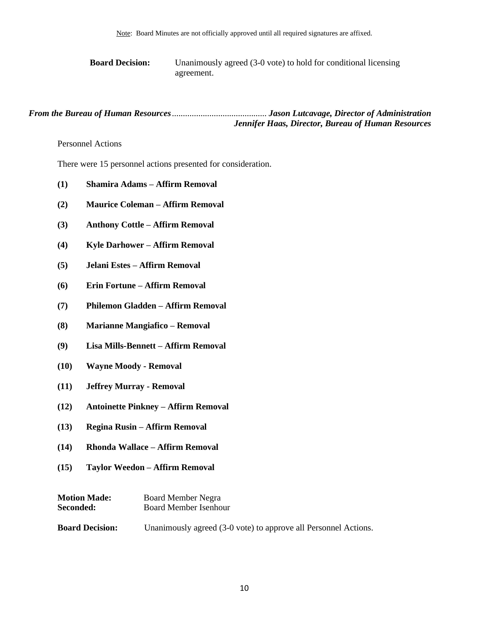**Board Decision:** Unanimously agreed (3-0 vote) to hold for conditional licensing agreement.

*From the Bureau of Human Resources*........................................... *Jason Lutcavage, Director of Administration Jennifer Haas, Director, Bureau of Human Resources*

<span id="page-9-0"></span>Personnel Actions

There were 15 personnel actions presented for consideration.

- **(1) Shamira Adams – Affirm Removal**
- **(2) Maurice Coleman – Affirm Removal**
- **(3) Anthony Cottle – Affirm Removal**
- **(4) Kyle Darhower – Affirm Removal**
- **(5) Jelani Estes – Affirm Removal**
- **(6) Erin Fortune – Affirm Removal**
- **(7) Philemon Gladden – Affirm Removal**
- **(8) Marianne Mangiafico – Removal**
- **(9) Lisa Mills-Bennett – Affirm Removal**
- **(10) Wayne Moody - Removal**
- **(11) Jeffrey Murray - Removal**
- **(12) Antoinette Pinkney – Affirm Removal**
- **(13) Regina Rusin – Affirm Removal**
- **(14) Rhonda Wallace – Affirm Removal**
- **(15) Taylor Weedon – Affirm Removal**

| <b>Motion Made:</b>    | <b>Board Member Negra</b>                                       |
|------------------------|-----------------------------------------------------------------|
| Seconded:              | Board Member Isenhour                                           |
|                        |                                                                 |
| <b>Board Decision:</b> | Unanimously agreed (3-0 vote) to approve all Personnel Actions. |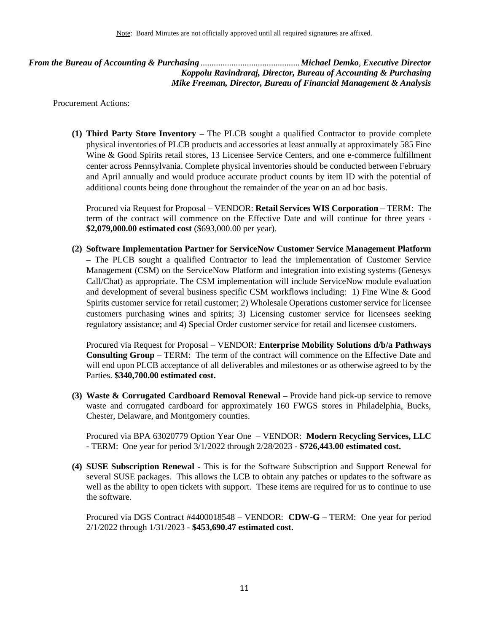<span id="page-10-0"></span>*From the Bureau of Accounting & Purchasing* .............................................*Michael Demko*, *Executive Director Koppolu Ravindraraj, Director, Bureau of Accounting & Purchasing Mike Freeman, Director, Bureau of Financial Management & Analysis* 

Procurement Actions:

**(1) Third Party Store Inventory –** The PLCB sought a qualified Contractor to provide complete physical inventories of PLCB products and accessories at least annually at approximately 585 Fine Wine & Good Spirits retail stores, 13 Licensee Service Centers, and one e-commerce fulfillment center across Pennsylvania. Complete physical inventories should be conducted between February and April annually and would produce accurate product counts by item ID with the potential of additional counts being done throughout the remainder of the year on an ad hoc basis.

Procured via Request for Proposal – VENDOR: **Retail Services WIS Corporation –** TERM: The term of the contract will commence on the Effective Date and will continue for three years - **\$2,079,000.00 estimated cost** (\$693,000.00 per year).

**(2) Software Implementation Partner for ServiceNow Customer Service Management Platform –** The PLCB sought a qualified Contractor to lead the implementation of Customer Service Management (CSM) on the ServiceNow Platform and integration into existing systems (Genesys Call/Chat) as appropriate. The CSM implementation will include ServiceNow module evaluation and development of several business specific CSM workflows including: 1) Fine Wine & Good Spirits customer service for retail customer; 2) Wholesale Operations customer service for licensee customers purchasing wines and spirits; 3) Licensing customer service for licensees seeking regulatory assistance; and 4) Special Order customer service for retail and licensee customers.

Procured via Request for Proposal – VENDOR: **Enterprise Mobility Solutions d/b/a Pathways Consulting Group –** TERM: The term of the contract will commence on the Effective Date and will end upon PLCB acceptance of all deliverables and milestones or as otherwise agreed to by the Parties. **\$340,700.00 estimated cost.**

**(3) Waste & Corrugated Cardboard Removal Renewal –** Provide hand pick-up service to remove waste and corrugated cardboard for approximately 160 FWGS stores in Philadelphia, Bucks, Chester, Delaware, and Montgomery counties.

Procured via BPA 63020779 Option Year One – VENDOR: **Modern Recycling Services, LLC -** TERM: One year for period 3/1/2022 through 2/28/2023 - **\$726,443.00 estimated cost.**

**(4) SUSE Subscription Renewal -** This is for the Software Subscription and Support Renewal for several SUSE packages. This allows the LCB to obtain any patches or updates to the software as well as the ability to open tickets with support. These items are required for us to continue to use the software.

Procured via DGS Contract #4400018548 – VENDOR: **CDW-G –** TERM: One year for period 2/1/2022 through 1/31/2023 - **\$453,690.47 estimated cost.**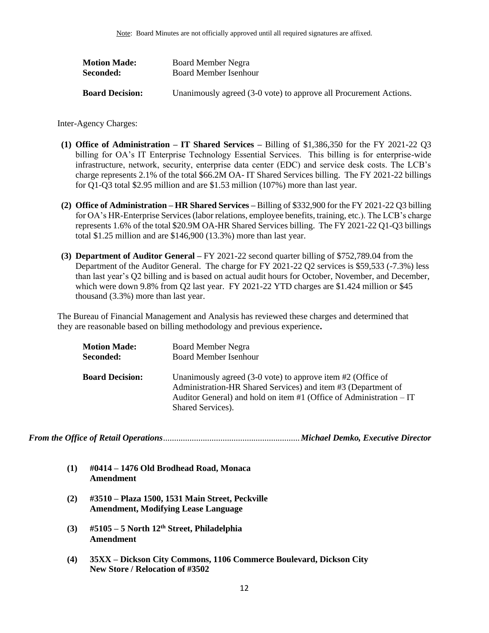| <b>Motion Made:</b>    | Board Member Negra                                                |
|------------------------|-------------------------------------------------------------------|
| Seconded:              | Board Member Isenhour                                             |
|                        |                                                                   |
| <b>Board Decision:</b> | Unanimously agreed (3-0 vote) to approve all Procurement Actions. |

Inter-Agency Charges:

- **(1) Office of Administration – IT Shared Services –** Billing of \$1,386,350 for the FY 2021-22 Q3 billing for OA's IT Enterprise Technology Essential Services. This billing is for enterprise-wide infrastructure, network, security, enterprise data center (EDC) and service desk costs. The LCB's charge represents 2.1% of the total \$66.2M OA- IT Shared Services billing. The FY 2021-22 billings for Q1-Q3 total \$2.95 million and are \$1.53 million (107%) more than last year.
- **(2) Office of Administration – HR Shared Services –** Billing of \$332,900 for the FY 2021-22 Q3 billing for OA's HR-Enterprise Services (labor relations, employee benefits, training, etc.). The LCB's charge represents 1.6% of the total \$20.9M OA-HR Shared Services billing. The FY 2021-22 Q1-Q3 billings total \$1.25 million and are \$146,900 (13.3%) more than last year.
- **(3) Department of Auditor General –** FY 2021-22 second quarter billing of \$752,789.04 from the Department of the Auditor General. The charge for FY 2021-22 Q2 services is \$59,533 (-7.3%) less than last year's Q2 billing and is based on actual audit hours for October, November, and December, which were down 9.8% from Q2 last year. FY 2021-22 YTD charges are \$1.424 million or \$45 thousand (3.3%) more than last year.

The Bureau of Financial Management and Analysis has reviewed these charges and determined that they are reasonable based on billing methodology and previous experience**.**

| <b>Motion Made:</b>    | <b>Board Member Negra</b>                                                                                                                                                                                                   |
|------------------------|-----------------------------------------------------------------------------------------------------------------------------------------------------------------------------------------------------------------------------|
| Seconded:              | <b>Board Member Isenhour</b>                                                                                                                                                                                                |
| <b>Board Decision:</b> | Unanimously agreed $(3-0)$ vote) to approve item #2 (Office of<br>Administration-HR Shared Services) and item #3 (Department of<br>Auditor General) and hold on item #1 (Office of Administration – IT<br>Shared Services). |

<span id="page-11-0"></span>*From the Office of Retail Operations*..............................................................*Michael Demko, Executive Director*

- **(1) #0414 – 1476 Old Brodhead Road, Monaca Amendment**
- **(2) #3510 – Plaza 1500, 1531 Main Street, Peckville Amendment, Modifying Lease Language**
- **(3) #5105 – 5 North 12th Street, Philadelphia Amendment**
- **(4) 35XX – Dickson City Commons, 1106 Commerce Boulevard, Dickson City New Store / Relocation of #3502**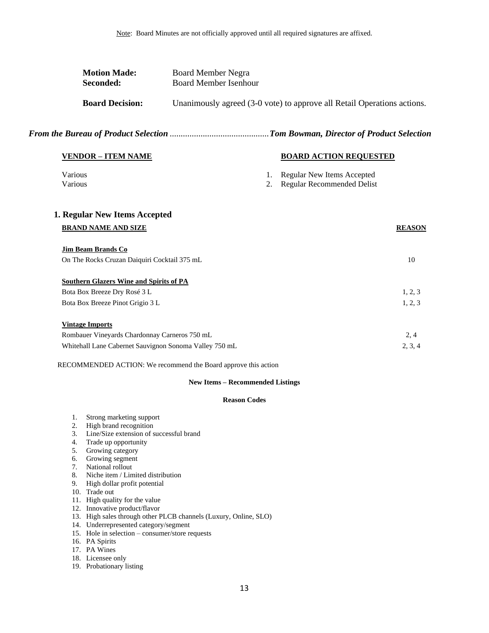|                      | <b>Motion Made:</b><br>Seconded:                                                                                      | <b>Board Member Negra</b><br><b>Board Member Isenhour</b>      |          |                                                                         |               |
|----------------------|-----------------------------------------------------------------------------------------------------------------------|----------------------------------------------------------------|----------|-------------------------------------------------------------------------|---------------|
|                      | <b>Board Decision:</b>                                                                                                |                                                                |          | Unanimously agreed (3-0 vote) to approve all Retail Operations actions. |               |
|                      |                                                                                                                       |                                                                |          |                                                                         |               |
|                      | <b>VENDOR - ITEM NAME</b>                                                                                             |                                                                |          | <b>BOARD ACTION REQUESTED</b>                                           |               |
| Various<br>Various   |                                                                                                                       |                                                                | 1.<br>2. | Regular New Items Accepted<br>Regular Recommended Delist                |               |
|                      | 1. Regular New Items Accepted                                                                                         |                                                                |          |                                                                         |               |
|                      | <b>BRAND NAME AND SIZE</b>                                                                                            |                                                                |          |                                                                         | <b>REASON</b> |
|                      | <b>Jim Beam Brands Co</b>                                                                                             |                                                                |          |                                                                         |               |
|                      | On The Rocks Cruzan Daiquiri Cocktail 375 mL                                                                          |                                                                |          |                                                                         | 10            |
|                      | <b>Southern Glazers Wine and Spirits of PA</b>                                                                        |                                                                |          |                                                                         |               |
|                      | Bota Box Breeze Dry Rosé 3 L                                                                                          |                                                                |          |                                                                         | 1, 2, 3       |
|                      | Bota Box Breeze Pinot Grigio 3 L                                                                                      |                                                                |          |                                                                         | 1, 2, 3       |
|                      | <b>Vintage Imports</b>                                                                                                |                                                                |          |                                                                         |               |
|                      | Rombauer Vineyards Chardonnay Carneros 750 mL                                                                         |                                                                |          |                                                                         | 2, 4          |
|                      |                                                                                                                       | Whitehall Lane Cabernet Sauvignon Sonoma Valley 750 mL         |          |                                                                         | 2, 3, 4       |
|                      |                                                                                                                       | RECOMMENDED ACTION: We recommend the Board approve this action |          |                                                                         |               |
|                      |                                                                                                                       | <b>New Items - Recommended Listings</b>                        |          |                                                                         |               |
|                      |                                                                                                                       | <b>Reason Codes</b>                                            |          |                                                                         |               |
| 1.<br>2.<br>3.<br>4. | Strong marketing support<br>High brand recognition<br>Line/Size extension of successful brand<br>Trade up opportunity |                                                                |          |                                                                         |               |
| 5.                   | Growing category                                                                                                      |                                                                |          |                                                                         |               |
| 6.                   | Growing segment                                                                                                       |                                                                |          |                                                                         |               |
| 7.                   | National rollout                                                                                                      |                                                                |          |                                                                         |               |

- 8. Niche item / Limited distribution
- 9. High dollar profit potential
- 10. Trade out
- 11. High quality for the value
- 12. Innovative product/flavor
- 13. High sales through other PLCB channels (Luxury, Online, SLO)
- 14. Underrepresented category/segment
- 15. Hole in selection consumer/store requests
- 16. PA Spirits
- 17. PA Wines
- 18. Licensee only
- 19. Probationary listing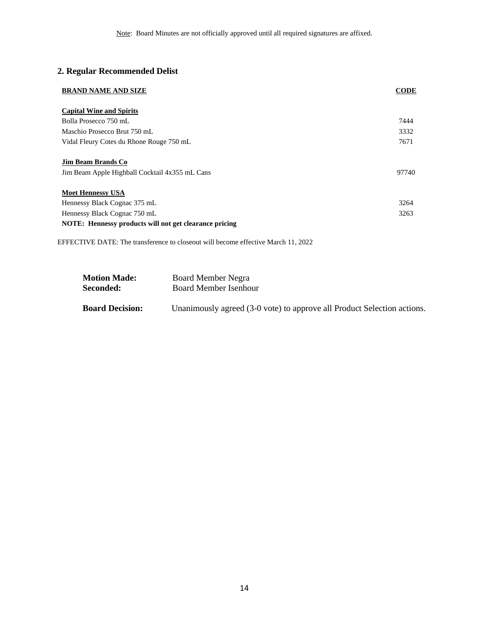## **2. Regular Recommended Delist**

| <b>BRAND NAME AND SIZE</b>                                                  | <b>CODE</b> |
|-----------------------------------------------------------------------------|-------------|
| <b>Capital Wine and Spirits</b>                                             |             |
| Bolla Prosecco 750 mL                                                       | 7444        |
| Maschio Prosecco Brut 750 mL                                                | 3332        |
| Vidal Fleury Cotes du Rhone Rouge 750 mL                                    | 7671        |
| <b>Jim Beam Brands Co</b><br>Jim Beam Apple Highball Cocktail 4x355 mL Cans | 97740       |
| <b>Moet Hennessy USA</b>                                                    |             |
| Hennessy Black Cognac 375 mL                                                | 3264        |
| Hennessy Black Cognac 750 mL                                                | 3263        |
| NOTE: Hennessy products will not get clearance pricing                      |             |

EFFECTIVE DATE: The transference to closeout will become effective March 11, 2022

| <b>Motion Made:</b>    | Board Member Negra                                                      |
|------------------------|-------------------------------------------------------------------------|
| <b>Seconded:</b>       | Board Member Isenhour                                                   |
| <b>Board Decision:</b> | Unanimously agreed (3-0 vote) to approve all Product Selection actions. |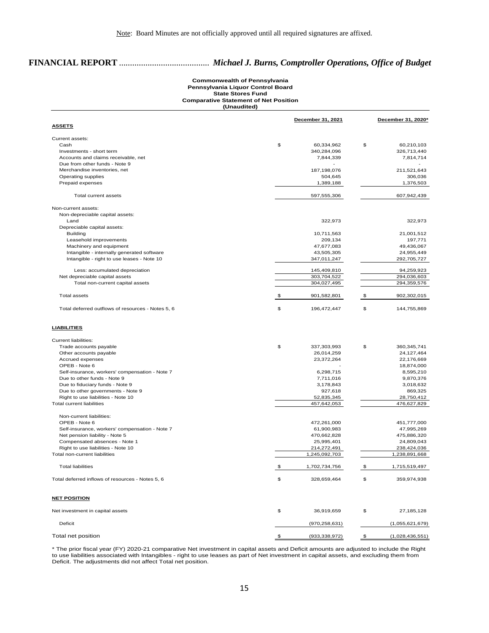## **FINANCIAL REPORT** ......................................... *Michael J. Burns, Comptroller Operations, Office of Budget*

### **Commonwealth of Pennsylvania Pennsylvania Liquor Control Board State Stores Fund Comparative Statement of Net Position (Unaudited)**

|                                                   | December 31, 2021 |                  | December 31, 2020* |                      |  |
|---------------------------------------------------|-------------------|------------------|--------------------|----------------------|--|
| <b>ASSETS</b>                                     |                   |                  |                    |                      |  |
| Current assets:                                   |                   |                  |                    |                      |  |
| Cash                                              | \$                | 60,334,962       | \$                 | 60,210,103           |  |
| Investments - short term                          |                   | 340,284,096      |                    | 326,713,440          |  |
| Accounts and claims receivable, net               |                   | 7,844,339        |                    | 7,814,714            |  |
| Due from other funds - Note 9                     |                   | ÷<br>187,198,076 |                    |                      |  |
| Merchandise inventories, net                      |                   | 504,645          |                    | 211,521,643          |  |
| Operating supplies<br>Prepaid expenses            |                   | 1,389,188        |                    | 306,036<br>1,376,503 |  |
|                                                   |                   |                  |                    |                      |  |
| Total current assets                              |                   | 597,555,306      |                    | 607,942,439          |  |
| Non-current assets:                               |                   |                  |                    |                      |  |
| Non-depreciable capital assets:                   |                   |                  |                    |                      |  |
| Land                                              |                   | 322,973          |                    | 322,973              |  |
| Depreciable capital assets:                       |                   |                  |                    |                      |  |
| <b>Building</b>                                   |                   | 10,711,563       |                    | 21,001,512           |  |
| Leasehold improvements                            |                   | 209,134          |                    | 197,771              |  |
| Machinery and equipment                           |                   | 47,677,083       |                    | 49,436,067           |  |
| Intangible - internally generated software        |                   | 43,505,305       |                    | 24,955,449           |  |
| Intangible - right to use leases - Note 10        |                   | 347,011,247      |                    | 292,705,727          |  |
| Less: accumulated depreciation                    |                   | 145,409,810      |                    | 94,259,923           |  |
| Net depreciable capital assets                    |                   | 303,704,522      |                    | 294,036,603          |  |
| Total non-current capital assets                  |                   | 304,027,495      |                    | 294,359,576          |  |
| <b>Total assets</b>                               | \$                | 901,582,801      | \$                 | 902,302,015          |  |
| Total deferred outflows of resources - Notes 5, 6 | \$                | 196,472,447      | \$                 | 144,755,869          |  |
| <b>LIABILITIES</b>                                |                   |                  |                    |                      |  |
| <b>Current liabilities:</b>                       |                   |                  |                    |                      |  |
| Trade accounts payable                            | \$                | 337,303,993      | \$                 | 360,345,741          |  |
| Other accounts payable                            |                   | 26,014,259       |                    | 24,127,464           |  |
| Accrued expenses                                  |                   | 23,372,264       |                    | 22,176,669           |  |
| OPEB - Note 6                                     |                   |                  |                    | 18,874,000           |  |
| Self-insurance, workers' compensation - Note 7    |                   | 6,298,715        |                    | 8,595,210            |  |
| Due to other funds - Note 9                       |                   | 7,711,016        |                    | 9,870,376            |  |
| Due to fiduciary funds - Note 9                   |                   | 3,178,843        |                    | 3,018,632            |  |
| Due to other governments - Note 9                 |                   | 927,618          |                    | 869,325              |  |
| Right to use liabilities - Note 10                |                   | 52,835,345       |                    | 28,750,412           |  |
| <b>Total current liabilities</b>                  |                   | 457,642,053      |                    | 476,627,829          |  |
| Non-current liabilities:                          |                   |                  |                    |                      |  |
| OPEB - Note 6                                     |                   | 472,261,000      |                    | 451,777,000          |  |
| Self-insurance, workers' compensation - Note 7    |                   | 61,900,983       |                    | 47,995,269           |  |
| Net pension liability - Note 5                    |                   | 470,662,828      |                    | 475,886,320          |  |
| Compensated absences - Note 1                     |                   | 25,995,401       |                    | 24,809,043           |  |
| Right to use liabilities - Note 10                |                   | 214,272,491      |                    | 238,424,036          |  |
| Total non-current liabilities                     |                   | 1,245,092,703    |                    | 1,238,891,668        |  |
| <b>Total liabilities</b>                          | \$                | 1,702,734,756    | -\$                | 1,715,519,497        |  |
| Total deferred inflows of resources - Notes 5, 6  | \$                | 328,659,464      | \$                 | 359,974,938          |  |
|                                                   |                   |                  |                    |                      |  |
| <b>NET POSITION</b>                               |                   |                  |                    |                      |  |
| Net investment in capital assets                  | \$                | 36,919,659       | \$                 | 27,185,128           |  |
| Deficit                                           |                   | (970, 258, 631)  |                    | (1,055,621,679)      |  |
| Total net position                                | \$                | (933, 338, 972)  | \$                 | (1,028,436,551)      |  |

\* The prior fiscal year (FY) 2020-21 comparative Net investment in capital assets and Deficit amounts are adjusted to include the Right to use liabilities associated with Intangibles - right to use leases as part of Net investment in capital assets, and excluding them from Deficit. The adjustments did not affect Total net position.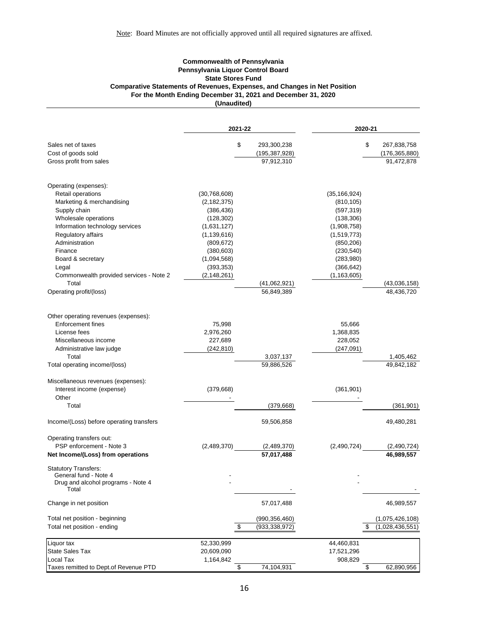### **Commonwealth of Pennsylvania Pennsylvania Liquor Control Board State Stores Fund Comparative Statements of Revenues, Expenses, and Changes in Net Position For the Month Ending December 31, 2021 and December 31, 2020 (Unaudited)**

|                                                      | 2021-22       |    |                            | 2020-21        |    |                            |
|------------------------------------------------------|---------------|----|----------------------------|----------------|----|----------------------------|
| Sales net of taxes                                   |               | \$ | 293,300,238                |                | \$ | 267,838,758                |
| Cost of goods sold                                   |               |    | (195, 387, 928)            |                |    | (176, 365, 880)            |
| Gross profit from sales                              |               |    | 97,912,310                 |                |    | 91,472,878                 |
| Operating (expenses):                                |               |    |                            |                |    |                            |
| Retail operations                                    | (30,768,608)  |    |                            | (35, 166, 924) |    |                            |
| Marketing & merchandising                            | (2, 182, 375) |    |                            | (810, 105)     |    |                            |
| Supply chain                                         | (386, 436)    |    |                            | (597, 319)     |    |                            |
| Wholesale operations                                 | (128, 302)    |    |                            | (138, 306)     |    |                            |
| Information technology services                      | (1,631,127)   |    |                            | (1,908,758)    |    |                            |
| Regulatory affairs                                   | (1, 139, 616) |    |                            | (1,519,773)    |    |                            |
| Administration                                       | (809, 672)    |    |                            | (850, 206)     |    |                            |
| Finance                                              | (380, 603)    |    |                            | (230, 540)     |    |                            |
| Board & secretary                                    | (1,094,568)   |    |                            | (283,980)      |    |                            |
| Legal                                                | (393, 353)    |    |                            | (366, 642)     |    |                            |
| Commonwealth provided services - Note 2              | (2, 148, 261) |    |                            | (1, 163, 605)  |    |                            |
| Total<br>Operating profit/(loss)                     |               |    | (41,062,921)<br>56,849,389 |                |    | (43,036,158)<br>48,436,720 |
|                                                      |               |    |                            |                |    |                            |
| Other operating revenues (expenses):                 |               |    |                            |                |    |                            |
| <b>Enforcement fines</b>                             | 75,998        |    |                            | 55,666         |    |                            |
| License fees                                         | 2,976,260     |    |                            | 1,368,835      |    |                            |
| Miscellaneous income                                 | 227,689       |    |                            | 228,052        |    |                            |
| Administrative law judge                             | (242, 810)    |    |                            | (247, 091)     |    |                            |
| Total                                                |               |    | 3,037,137                  |                |    | 1,405,462                  |
| Total operating income/(loss)                        |               |    | 59,886,526                 |                |    | 49,842,182                 |
| Miscellaneous revenues (expenses):                   |               |    |                            |                |    |                            |
| Interest income (expense)                            | (379, 668)    |    |                            | (361, 901)     |    |                            |
| Other                                                |               |    |                            |                |    |                            |
| Total                                                |               |    | (379,668)                  |                |    | (361, 901)                 |
| Income/(Loss) before operating transfers             |               |    | 59,506,858                 |                |    | 49,480,281                 |
| Operating transfers out:                             |               |    |                            |                |    |                            |
| PSP enforcement - Note 3                             | (2,489,370)   |    | (2,489,370)                | (2,490,724)    |    | (2,490,724)<br>46,989,557  |
| Net Income/(Loss) from operations                    |               |    | 57,017,488                 |                |    |                            |
| <b>Statutory Transfers:</b><br>General fund - Note 4 |               |    |                            |                |    |                            |
| Drug and alcohol programs - Note 4<br>Total          |               |    |                            |                |    |                            |
| Change in net position                               |               |    | 57,017,488                 |                |    | 46,989,557                 |
| Total net position - beginning                       |               |    | (990, 356, 460)            |                |    | (1,075,426,108)            |
| Total net position - ending                          |               | \$ | (933, 338, 972)            |                | S  | (1,028,436,551)            |
| Liquor tax                                           | 52,330,999    |    |                            | 44,460,831     |    |                            |
| <b>State Sales Tax</b>                               | 20,609,090    |    |                            | 17,521,296     |    |                            |
| Local Tax                                            | 1,164,842     |    |                            | 908,829        |    |                            |
| Taxes remitted to Dept.of Revenue PTD                |               | \$ | 74,104,931                 |                | \$ | 62,890,956                 |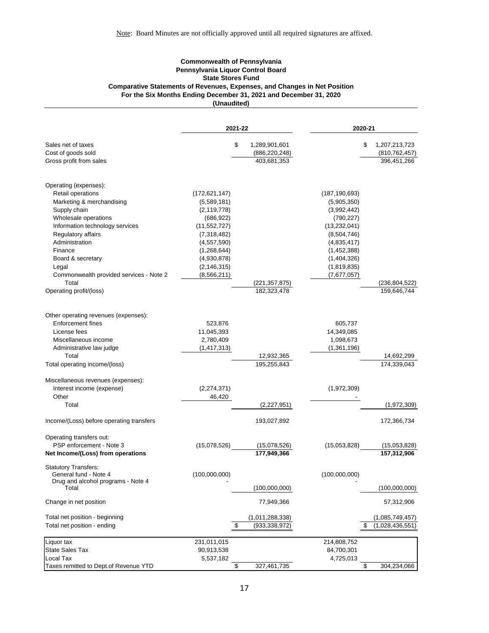### <span id="page-16-0"></span>**Commonwealth of Pennsylvania Pennsylvania Liquor Control Board State Stores Fund Comparative Statements of Revenues, Expenses, and Changes in Net Position For the Six Months Ending December 31, 2021 and December 31, 2020 (Unaudited)**

|                                                               | 2021-22         |    | 2020-21                     |                 |    |                             |
|---------------------------------------------------------------|-----------------|----|-----------------------------|-----------------|----|-----------------------------|
| Sales net of taxes                                            |                 | \$ | 1,289,901,601               |                 | \$ | 1,207,213,723               |
| Cost of goods sold                                            |                 |    | (886, 220, 248)             |                 |    | (810, 762, 457)             |
| Gross profit from sales                                       |                 |    | 403,681,353                 |                 |    | 396,451,266                 |
| Operating (expenses):                                         |                 |    |                             |                 |    |                             |
| Retail operations                                             | (172, 621, 147) |    |                             | (187, 190, 693) |    |                             |
| Marketing & merchandising                                     | (5,589,181)     |    |                             | (5,905,350)     |    |                             |
| Supply chain                                                  | (2, 119, 778)   |    |                             | (3,992,442)     |    |                             |
| Wholesale operations                                          | (686, 922)      |    |                             | (790, 227)      |    |                             |
| Information technology services                               | (11,552,727)    |    |                             | (13, 232, 041)  |    |                             |
| Regulatory affairs                                            | (7,318,482)     |    |                             | (8,504,746)     |    |                             |
| Administration                                                | (4,557,590)     |    |                             | (4,835,417)     |    |                             |
| Finance                                                       | (1,268,644)     |    |                             | (1,452,388)     |    |                             |
| Board & secretary                                             | (4,930,878)     |    |                             | (1,404,326)     |    |                             |
| Legal                                                         | (2, 146, 315)   |    |                             | (1,819,835)     |    |                             |
| Commonwealth provided services - Note 2                       | (8, 566, 211)   |    |                             | (7,677,057)     |    |                             |
| Total                                                         |                 |    | (221, 357, 875)             |                 |    | (236,804,522)               |
| Operating profit/(loss)                                       |                 |    | 182,323,478                 |                 |    | 159,646,744                 |
| Other operating revenues (expenses):                          |                 |    |                             |                 |    |                             |
| <b>Enforcement fines</b>                                      | 523,876         |    |                             | 605,737         |    |                             |
| License fees                                                  | 11,045,393      |    |                             | 14,349,085      |    |                             |
| Miscellaneous income                                          | 2,780,409       |    |                             | 1,098,673       |    |                             |
| Administrative law judge                                      | (1, 417, 313)   |    |                             | (1,361,196)     |    |                             |
| Total                                                         |                 |    | 12,932,365                  |                 |    | 14,692,299                  |
| Total operating income/(loss)                                 |                 |    | 195,255,843                 |                 |    | 174,339,043                 |
| Miscellaneous revenues (expenses):                            |                 |    |                             |                 |    |                             |
| Interest income (expense)                                     | (2, 274, 371)   |    |                             | (1,972,309)     |    |                             |
| Other                                                         | 46,420          |    |                             |                 |    |                             |
| Total                                                         |                 |    | (2,227,951)                 |                 |    | (1,972,309)                 |
| Income/(Loss) before operating transfers                      |                 |    | 193,027,892                 |                 |    | 172,366,734                 |
| Operating transfers out:                                      |                 |    |                             |                 |    |                             |
| PSP enforcement - Note 3<br>Net Income/(Loss) from operations | (15,078,526)    |    | (15,078,526)<br>177,949,366 | (15,053,828)    |    | (15,053,828)<br>157,312,906 |
| <b>Statutory Transfers:</b><br>General fund - Note 4          | (100,000,000)   |    |                             | (100,000,000)   |    |                             |
| Drug and alcohol programs - Note 4                            |                 |    |                             |                 |    |                             |
| Total                                                         |                 |    | (100,000,000)               |                 |    | (100,000,000)               |
| Change in net position                                        |                 |    | 77,949,366                  |                 |    | 57,312,906                  |
| Total net position - beginning                                |                 |    | (1,011,288,338)             |                 |    | (1,085,749,457)             |
| Total net position - ending                                   |                 | \$ | (933, 338, 972)             |                 | S  | (1,028,436,551)             |
| Liquor tax                                                    | 231,011,015     |    |                             | 214,808,752     |    |                             |
| <b>State Sales Tax</b>                                        | 90,913,538      |    |                             | 84,700,301      |    |                             |
| Local Tax                                                     | 5,537,182       |    |                             | 4,725,013       |    |                             |
| Taxes remitted to Dept.of Revenue YTD                         |                 | \$ | 327,461,735                 |                 | \$ | 304,234,066                 |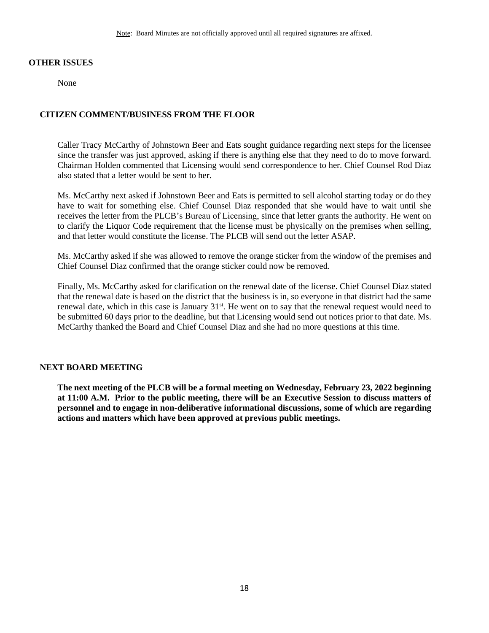### **OTHER ISSUES**

None

## **CITIZEN COMMENT/BUSINESS FROM THE FLOOR**

Caller Tracy McCarthy of Johnstown Beer and Eats sought guidance regarding next steps for the licensee since the transfer was just approved, asking if there is anything else that they need to do to move forward. Chairman Holden commented that Licensing would send correspondence to her. Chief Counsel Rod Diaz also stated that a letter would be sent to her.

Ms. McCarthy next asked if Johnstown Beer and Eats is permitted to sell alcohol starting today or do they have to wait for something else. Chief Counsel Diaz responded that she would have to wait until she receives the letter from the PLCB's Bureau of Licensing, since that letter grants the authority. He went on to clarify the Liquor Code requirement that the license must be physically on the premises when selling, and that letter would constitute the license. The PLCB will send out the letter ASAP.

Ms. McCarthy asked if she was allowed to remove the orange sticker from the window of the premises and Chief Counsel Diaz confirmed that the orange sticker could now be removed.

Finally, Ms. McCarthy asked for clarification on the renewal date of the license. Chief Counsel Diaz stated that the renewal date is based on the district that the business is in, so everyone in that district had the same renewal date, which in this case is January 31<sup>st</sup>. He went on to say that the renewal request would need to be submitted 60 days prior to the deadline, but that Licensing would send out notices prior to that date. Ms. McCarthy thanked the Board and Chief Counsel Diaz and she had no more questions at this time.

## **NEXT BOARD MEETING**

**The next meeting of the PLCB will be a formal meeting on Wednesday, February 23, 2022 beginning at 11:00 A.M. Prior to the public meeting, there will be an Executive Session to discuss matters of personnel and to engage in non-deliberative informational discussions, some of which are regarding actions and matters which have been approved at previous public meetings.**